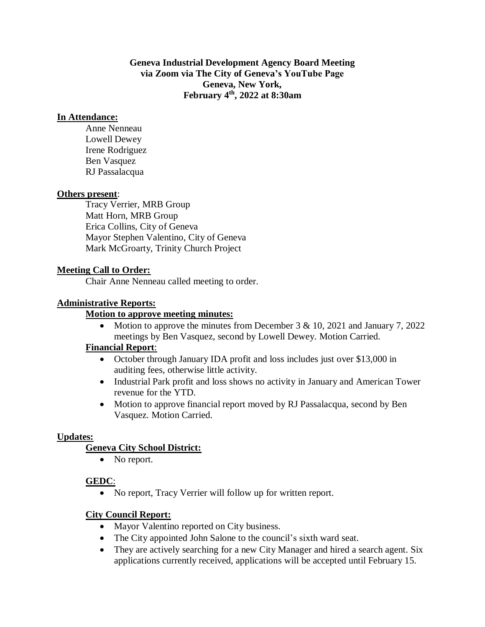**Geneva Industrial Development Agency Board Meeting via Zoom via The City of Geneva's YouTube Page Geneva, New York, February 4th , 2022 at 8:30am**

### **In Attendance:**

Anne Nenneau Lowell Dewey Irene Rodriguez Ben Vasquez RJ Passalacqua

#### **Others present**:

Tracy Verrier, MRB Group Matt Horn, MRB Group Erica Collins, City of Geneva Mayor Stephen Valentino, City of Geneva Mark McGroarty, Trinity Church Project

### **Meeting Call to Order:**

Chair Anne Nenneau called meeting to order.

#### **Administrative Reports:**

#### **Motion to approve meeting minutes:**

• Motion to approve the minutes from December  $3 \& 10$ ,  $2021$  and January  $7$ ,  $2022$ meetings by Ben Vasquez, second by Lowell Dewey. Motion Carried.

#### **Financial Report**:

- October through January IDA profit and loss includes just over \$13,000 in auditing fees, otherwise little activity.
- Industrial Park profit and loss shows no activity in January and American Tower revenue for the YTD.
- Motion to approve financial report moved by RJ Passalacqua, second by Ben Vasquez. Motion Carried.

### **Updates:**

### **Geneva City School District:**

• No report.

### **GEDC**:

• No report, Tracy Verrier will follow up for written report.

### **City Council Report:**

- Mayor Valentino reported on City business.
- The City appointed John Salone to the council's sixth ward seat.
- They are actively searching for a new City Manager and hired a search agent. Six applications currently received, applications will be accepted until February 15.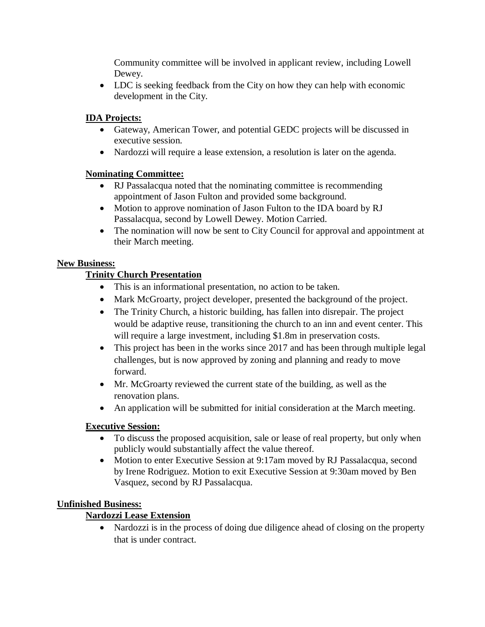Community committee will be involved in applicant review, including Lowell Dewey.

• LDC is seeking feedback from the City on how they can help with economic development in the City.

### **IDA Projects:**

- Gateway, American Tower, and potential GEDC projects will be discussed in executive session.
- Nardozzi will require a lease extension, a resolution is later on the agenda.

### **Nominating Committee:**

- RJ Passalacqua noted that the nominating committee is recommending appointment of Jason Fulton and provided some background.
- Motion to approve nomination of Jason Fulton to the IDA board by RJ Passalacqua, second by Lowell Dewey. Motion Carried.
- The nomination will now be sent to City Council for approval and appointment at their March meeting.

### **New Business:**

# **Trinity Church Presentation**

- This is an informational presentation, no action to be taken.
- Mark McGroarty, project developer, presented the background of the project.
- The Trinity Church, a historic building, has fallen into disrepair. The project would be adaptive reuse, transitioning the church to an inn and event center. This will require a large investment, including \$1.8m in preservation costs.
- This project has been in the works since 2017 and has been through multiple legal challenges, but is now approved by zoning and planning and ready to move forward.
- Mr. McGroarty reviewed the current state of the building, as well as the renovation plans.
- An application will be submitted for initial consideration at the March meeting.

# **Executive Session:**

- To discuss the proposed acquisition, sale or lease of real property, but only when publicly would substantially affect the value thereof.
- Motion to enter Executive Session at 9:17am moved by RJ Passalacqua, second by Irene Rodriguez. Motion to exit Executive Session at 9:30am moved by Ben Vasquez, second by RJ Passalacqua.

# **Unfinished Business:**

# **Nardozzi Lease Extension**

• Nardozzi is in the process of doing due diligence ahead of closing on the property that is under contract.